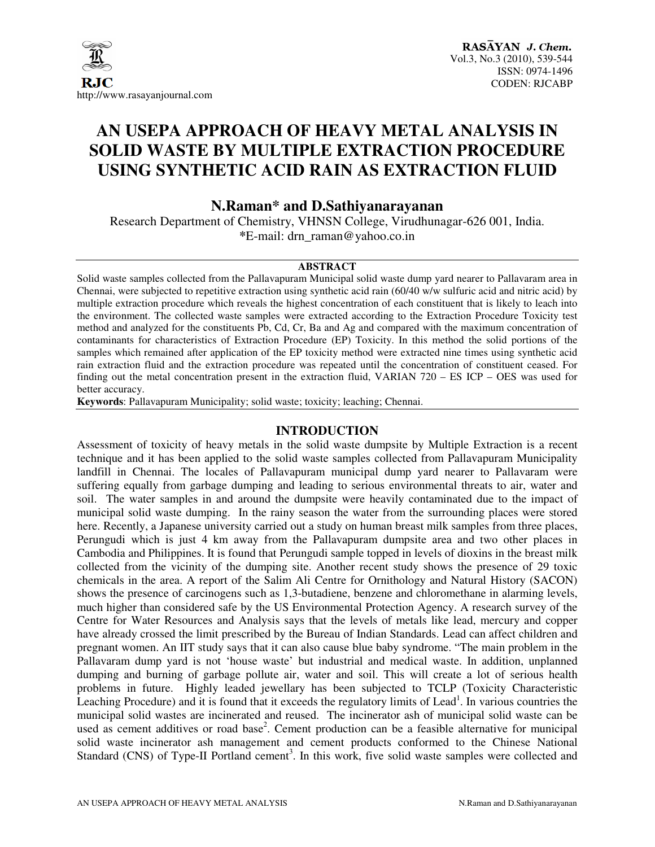

### **AN USEPA APPROACH OF HEAVY METAL ANALYSIS IN SOLID WASTE BY MULTIPLE EXTRACTION PROCEDURE USING SYNTHETIC ACID RAIN AS EXTRACTION FLUID**

#### **N.Raman\* and D.Sathiyanarayanan**

Research Department of Chemistry, VHNSN College, Virudhunagar-626 001, India. **\***E-mail: drn\_raman@yahoo.co.in

#### **ABSTRACT**

Solid waste samples collected from the Pallavapuram Municipal solid waste dump yard nearer to Pallavaram area in Chennai, were subjected to repetitive extraction using synthetic acid rain (60/40 w/w sulfuric acid and nitric acid) by multiple extraction procedure which reveals the highest concentration of each constituent that is likely to leach into the environment. The collected waste samples were extracted according to the Extraction Procedure Toxicity test method and analyzed for the constituents Pb, Cd, Cr, Ba and Ag and compared with the maximum concentration of contaminants for characteristics of Extraction Procedure (EP) Toxicity. In this method the solid portions of the samples which remained after application of the EP toxicity method were extracted nine times using synthetic acid rain extraction fluid and the extraction procedure was repeated until the concentration of constituent ceased. For finding out the metal concentration present in the extraction fluid, VARIAN 720 – ES ICP – OES was used for better accuracy.

**Keywords**: Pallavapuram Municipality; solid waste; toxicity; leaching; Chennai.

#### **INTRODUCTION**

Assessment of toxicity of heavy metals in the solid waste dumpsite by Multiple Extraction is a recent technique and it has been applied to the solid waste samples collected from Pallavapuram Municipality landfill in Chennai. The locales of Pallavapuram municipal dump yard nearer to Pallavaram were suffering equally from garbage dumping and leading to serious environmental threats to air, water and soil. The water samples in and around the dumpsite were heavily contaminated due to the impact of municipal solid waste dumping. In the rainy season the water from the surrounding places were stored here. Recently, a Japanese university carried out a study on human breast milk samples from three places, Perungudi which is just 4 km away from the Pallavapuram dumpsite area and two other places in Cambodia and Philippines. It is found that Perungudi sample topped in levels of dioxins in the breast milk collected from the vicinity of the dumping site. Another recent study shows the presence of 29 toxic chemicals in the area. A report of the Salim Ali Centre for Ornithology and Natural History (SACON) shows the presence of carcinogens such as 1,3-butadiene, benzene and chloromethane in alarming levels, much higher than considered safe by the US Environmental Protection Agency. A research survey of the Centre for Water Resources and Analysis says that the levels of metals like lead, mercury and copper have already crossed the limit prescribed by the Bureau of Indian Standards. Lead can affect children and pregnant women. An IIT study says that it can also cause blue baby syndrome. "The main problem in the Pallavaram dump yard is not 'house waste' but industrial and medical waste. In addition, unplanned dumping and burning of garbage pollute air, water and soil. This will create a lot of serious health problems in future. Highly leaded jewellary has been subjected to TCLP (Toxicity Characteristic Leaching Procedure) and it is found that it exceeds the regulatory limits of Lead<sup>1</sup>. In various countries the municipal solid wastes are incinerated and reused. The incinerator ash of municipal solid waste can be used as cement additives or road base<sup>2</sup>. Cement production can be a feasible alternative for municipal solid waste incinerator ash management and cement products conformed to the Chinese National Standard (CNS) of Type-II Portland cement<sup>3</sup>. In this work, five solid waste samples were collected and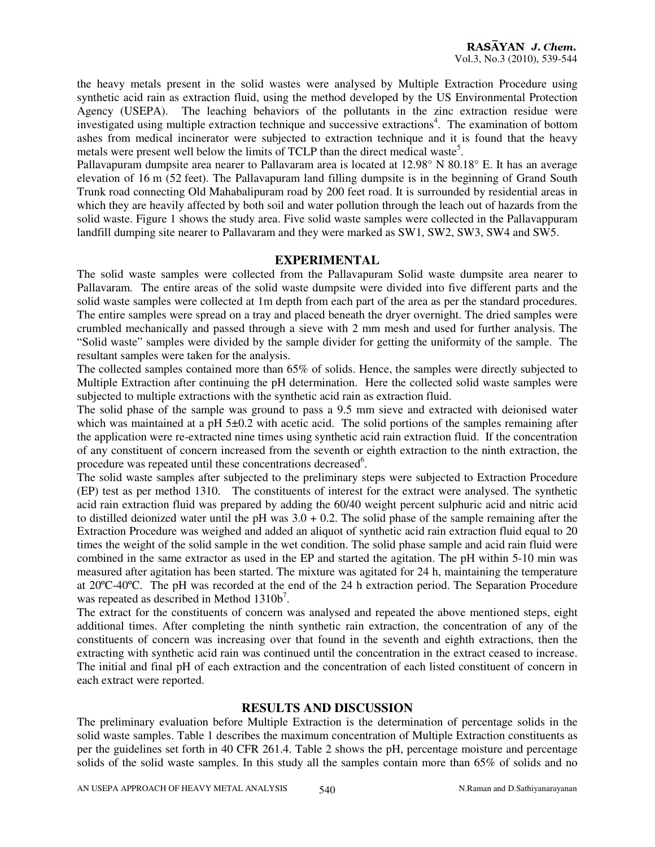the heavy metals present in the solid wastes were analysed by Multiple Extraction Procedure using synthetic acid rain as extraction fluid, using the method developed by the US Environmental Protection Agency (USEPA). The leaching behaviors of the pollutants in the zinc extraction residue were investigated using multiple extraction technique and successive extractions<sup>4</sup>. The examination of bottom ashes from medical incinerator were subjected to extraction technique and it is found that the heavy metals were present well below the limits of TCLP than the direct medical waste<sup>5</sup>.

Pallavapuram dumpsite area nearer to Pallavaram area is located at 12.98° N 80.18° E. It has an average elevation of 16 m (52 feet). The Pallavapuram land filling dumpsite is in the beginning of Grand South Trunk road connecting Old Mahabalipuram road by 200 feet road. It is surrounded by residential areas in which they are heavily affected by both soil and water pollution through the leach out of hazards from the solid waste. Figure 1 shows the study area. Five solid waste samples were collected in the Pallavappuram landfill dumping site nearer to Pallavaram and they were marked as SW1, SW2, SW3, SW4 and SW5.

#### **EXPERIMENTAL**

The solid waste samples were collected from the Pallavapuram Solid waste dumpsite area nearer to Pallavaram. The entire areas of the solid waste dumpsite were divided into five different parts and the solid waste samples were collected at 1m depth from each part of the area as per the standard procedures. The entire samples were spread on a tray and placed beneath the dryer overnight. The dried samples were crumbled mechanically and passed through a sieve with 2 mm mesh and used for further analysis. The "Solid waste" samples were divided by the sample divider for getting the uniformity of the sample. The resultant samples were taken for the analysis.

The collected samples contained more than 65% of solids. Hence, the samples were directly subjected to Multiple Extraction after continuing the pH determination. Here the collected solid waste samples were subjected to multiple extractions with the synthetic acid rain as extraction fluid.

The solid phase of the sample was ground to pass a 9.5 mm sieve and extracted with deionised water which was maintained at a pH 5±0.2 with acetic acid. The solid portions of the samples remaining after the application were re-extracted nine times using synthetic acid rain extraction fluid. If the concentration of any constituent of concern increased from the seventh or eighth extraction to the ninth extraction, the procedure was repeated until these concentrations decreased<sup>6</sup>.

The solid waste samples after subjected to the preliminary steps were subjected to Extraction Procedure (EP) test as per method 1310. The constituents of interest for the extract were analysed. The synthetic acid rain extraction fluid was prepared by adding the 60/40 weight percent sulphuric acid and nitric acid to distilled deionized water until the pH was  $3.0 + 0.2$ . The solid phase of the sample remaining after the Extraction Procedure was weighed and added an aliquot of synthetic acid rain extraction fluid equal to 20 times the weight of the solid sample in the wet condition. The solid phase sample and acid rain fluid were combined in the same extractor as used in the EP and started the agitation. The pH within 5-10 min was measured after agitation has been started. The mixture was agitated for 24 h, maintaining the temperature at 20ºC-40ºC. The pH was recorded at the end of the 24 h extraction period. The Separation Procedure was repeated as described in Method  $1310b^7$ .

The extract for the constituents of concern was analysed and repeated the above mentioned steps, eight additional times. After completing the ninth synthetic rain extraction, the concentration of any of the constituents of concern was increasing over that found in the seventh and eighth extractions, then the extracting with synthetic acid rain was continued until the concentration in the extract ceased to increase. The initial and final pH of each extraction and the concentration of each listed constituent of concern in each extract were reported.

#### **RESULTS AND DISCUSSION**

The preliminary evaluation before Multiple Extraction is the determination of percentage solids in the solid waste samples. Table 1 describes the maximum concentration of Multiple Extraction constituents as per the guidelines set forth in 40 CFR 261.4. Table 2 shows the pH, percentage moisture and percentage solids of the solid waste samples. In this study all the samples contain more than 65% of solids and no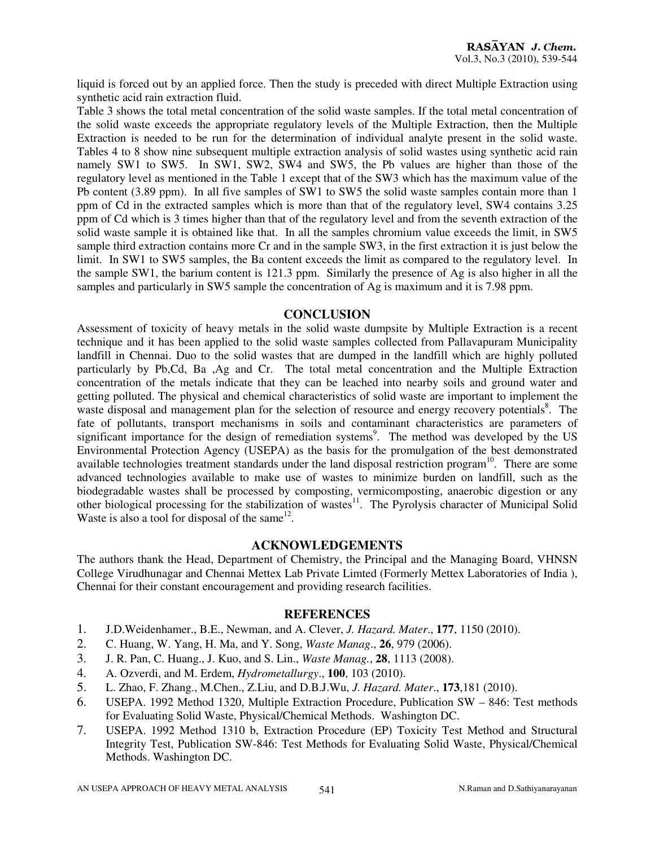liquid is forced out by an applied force. Then the study is preceded with direct Multiple Extraction using synthetic acid rain extraction fluid.

Table 3 shows the total metal concentration of the solid waste samples. If the total metal concentration of the solid waste exceeds the appropriate regulatory levels of the Multiple Extraction, then the Multiple Extraction is needed to be run for the determination of individual analyte present in the solid waste. Tables 4 to 8 show nine subsequent multiple extraction analysis of solid wastes using synthetic acid rain namely SW1 to SW5. In SW1, SW2, SW4 and SW5, the Pb values are higher than those of the regulatory level as mentioned in the Table 1 except that of the SW3 which has the maximum value of the Pb content (3.89 ppm). In all five samples of SW1 to SW5 the solid waste samples contain more than 1 ppm of Cd in the extracted samples which is more than that of the regulatory level, SW4 contains 3.25 ppm of Cd which is 3 times higher than that of the regulatory level and from the seventh extraction of the solid waste sample it is obtained like that. In all the samples chromium value exceeds the limit, in SW5 sample third extraction contains more Cr and in the sample SW3, in the first extraction it is just below the limit. In SW1 to SW5 samples, the Ba content exceeds the limit as compared to the regulatory level. In the sample SW1, the barium content is 121.3 ppm. Similarly the presence of Ag is also higher in all the samples and particularly in SW5 sample the concentration of Ag is maximum and it is 7.98 ppm.

#### **CONCLUSION**

Assessment of toxicity of heavy metals in the solid waste dumpsite by Multiple Extraction is a recent technique and it has been applied to the solid waste samples collected from Pallavapuram Municipality landfill in Chennai. Duo to the solid wastes that are dumped in the landfill which are highly polluted particularly by Pb,Cd, Ba ,Ag and Cr. The total metal concentration and the Multiple Extraction concentration of the metals indicate that they can be leached into nearby soils and ground water and getting polluted. The physical and chemical characteristics of solid waste are important to implement the waste disposal and management plan for the selection of resource and energy recovery potentials<sup>8</sup>. The fate of pollutants, transport mechanisms in soils and contaminant characteristics are parameters of significant importance for the design of remediation systems<sup>9</sup>. The method was developed by the US Environmental Protection Agency (USEPA) as the basis for the promulgation of the best demonstrated available technologies treatment standards under the land disposal restriction program<sup>10</sup>. There are some advanced technologies available to make use of wastes to minimize burden on landfill, such as the biodegradable wastes shall be processed by composting, vermicomposting, anaerobic digestion or any other biological processing for the stabilization of wastes<sup>11</sup>. The Pyrolysis character of Municipal Solid Waste is also a tool for disposal of the same $^{12}$ .

#### **ACKNOWLEDGEMENTS**

The authors thank the Head, Department of Chemistry, the Principal and the Managing Board, VHNSN College Virudhunagar and Chennai Mettex Lab Private Limted (Formerly Mettex Laboratories of India ), Chennai for their constant encouragement and providing research facilities.

#### **REFERENCES**

- 1. J.D.Weidenhamer., B.E., Newman, and A. Clever, *J. Hazard. Mater*., **177**, 1150 (2010).
- 2. C. Huang, W. Yang, H. Ma, and Y. Song, *Waste Manag*., **26**, 979 (2006).
- 3. J. R. Pan, C. Huang., J. Kuo, and S. Lin., *Waste Manag.*, **28**, 1113 (2008).
- 4. A. Ozverdi, and M. Erdem, *Hydrometallurgy*., **100**, 103 (2010).
- 5. L. Zhao, F. Zhang., M.Chen., Z.Liu, and D.B.J.Wu, *J. Hazard. Mater*., **173**,181 (2010).
- 6. USEPA. 1992 Method 1320, Multiple Extraction Procedure, Publication SW 846: Test methods for Evaluating Solid Waste, Physical/Chemical Methods. Washington DC.
- 7. USEPA. 1992 Method 1310 b, Extraction Procedure (EP) Toxicity Test Method and Structural Integrity Test, Publication SW-846: Test Methods for Evaluating Solid Waste, Physical/Chemical Methods. Washington DC.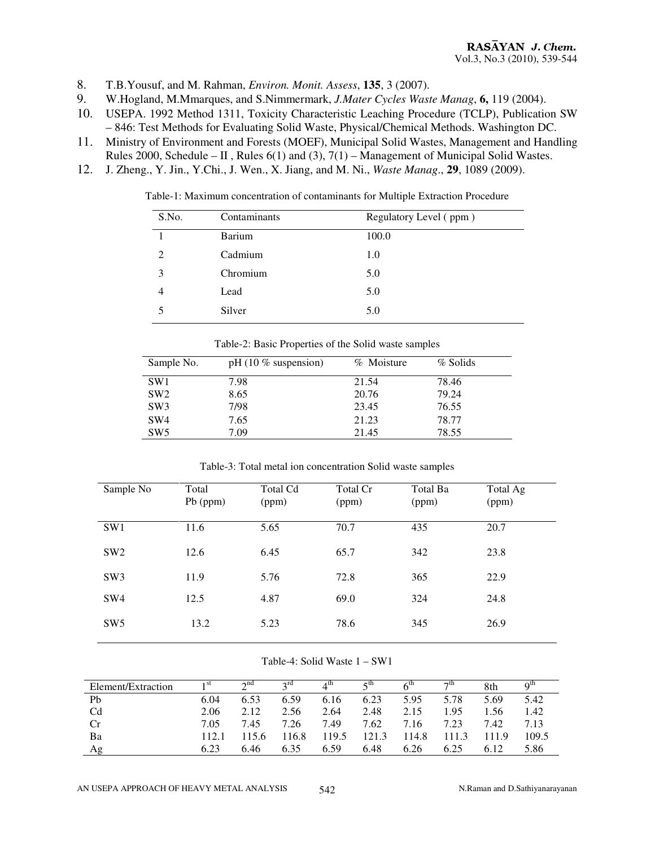- 8. T.B.Yousuf, and M. Rahman, *Environ. Monit. Assess*, **135**, 3 (2007).
- 9. W.Hogland, M.Mmarques, and S.Nimmermark, *J.Mater Cycles Waste Manag*, **6,** 119 (2004).
- 10. USEPA. 1992 Method 1311, Toxicity Characteristic Leaching Procedure (TCLP), Publication SW – 846: Test Methods for Evaluating Solid Waste, Physical/Chemical Methods. Washington DC.
- 11. Ministry of Environment and Forests (MOEF), Municipal Solid Wastes, Management and Handling Rules 2000, Schedule – II, Rules  $6(1)$  and  $(3)$ ,  $7(1)$  – Management of Municipal Solid Wastes.
- 12. J. Zheng., Y. Jin., Y.Chi., J. Wen., X. Jiang, and M. Ni., *Waste Manag*., **29**, 1089 (2009).

Table-1: Maximum concentration of contaminants for Multiple Extraction Procedure

| S.No. | Contaminants  | Regulatory Level (ppm) |
|-------|---------------|------------------------|
|       | <b>Barium</b> | 100.0                  |
| 2     | Cadmium       | 1.0                    |
|       | Chromium      | 5.0                    |
|       | Lead          | 5.0                    |
|       | Silver        | 5.0                    |

| Sample No.      | $pH (10 %$ suspension) | % Moisture | % Solids |
|-----------------|------------------------|------------|----------|
| SW <sub>1</sub> | 7.98                   | 21.54      | 78.46    |
| SW <sub>2</sub> | 8.65                   | 20.76      | 79.24    |
| SW <sub>3</sub> | 7/98                   | 23.45      | 76.55    |
| SW <sub>4</sub> | 7.65                   | 21.23      | 78.77    |
| SW <sub>5</sub> | 7.09                   | 21.45      | 78.55    |

Table-2: Basic Properties of the Solid waste samples

Table-3: Total metal ion concentration Solid waste samples

| Sample No       | Total<br>Pb (ppm) | <b>Total Cd</b><br>(ppm) | Total Cr<br>(ppm) | Total Ba<br>(ppm) | Total Ag<br>(ppm) |
|-----------------|-------------------|--------------------------|-------------------|-------------------|-------------------|
| SW <sub>1</sub> | 11.6              | 5.65                     | 70.7              | 435               | 20.7              |
| SW <sub>2</sub> | 12.6              | 6.45                     | 65.7              | 342               | 23.8              |
| SW <sub>3</sub> | 11.9              | 5.76                     | 72.8              | 365               | 22.9              |
| SW <sub>4</sub> | 12.5              | 4.87                     | 69.0              | 324               | 24.8              |
| SW <sub>5</sub> | 13.2              | 5.23                     | 78.6              | 345               | 26.9              |

#### Table-4: Solid Waste 1 – SW1

| Element/Extraction | 1 St  | $\gamma$ nd | 2 <sup>rd</sup> | $4^{\text{th}}$ | ςth   | $6^{\text{th}}$ | $\neg$ th | 8th   | $Q^{In}$ |
|--------------------|-------|-------------|-----------------|-----------------|-------|-----------------|-----------|-------|----------|
| Pb                 | 6.04  | 6.53        | 6.59            | 6.16            | 6.23  | 5.95            | 5.78      | 5.69  | 5.42     |
| Cd                 | 2.06  | 2.12        | 2.56            | 2.64            | 2.48  | 2.15            | 1.95      | 1.56  | 1.42     |
| Cr                 | 7.05  | 7.45        | 7.26            | 7.49            | 7.62  | 7.16            | 7.23      | 7.42  | 7.13     |
| Ba                 | 112.1 | 115.6       | 116.8           | 119.5           | 121.3 | 114.8           |           | 111.9 | 109.5    |
| Αg                 | 6.23  | 6.46        | 6.35            | 6.59            | 6.48  | 6.26            | 6.25      | 6.12  | 5.86     |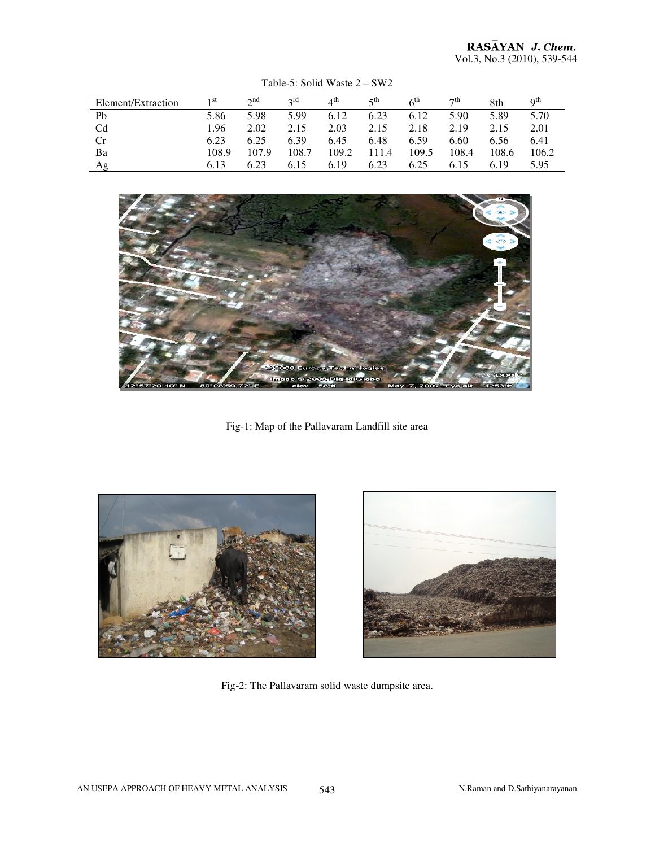| Element/Extraction | $-1$ SU | $\lambda$ nd | $2^{\text{ru}}$ | $A^{\text{In}}$ | ςա    | $6^{\mathrm{m}}$ | $\neg$ th | 8th   | $\alpha$ <sup>th</sup> |
|--------------------|---------|--------------|-----------------|-----------------|-------|------------------|-----------|-------|------------------------|
| Pb                 | 5.86    | 5.98         | 5.99            | 6.12            | 6.23  | 6.12             | 5.90      | 5.89  | 5.70                   |
| C <sub>d</sub>     | 1.96    | 2.02         | 2.15            | 2.03            | 2.15  | 2.18             | 2.19      | 2.15  | 2.01                   |
| Cr                 | 6.23    | 6.25         | 6.39            | 6.45            | 6.48  | 6.59             | 6.60      | 6.56  | 6.41                   |
| Ba                 | 108.9   | 107.9        | 108.7           | 109.2           | 111.4 | 109.5            | 108.4     | 108.6 | 106.2                  |
| Ag                 | 6.13    | 6.23         | 6.15            | 6.19            | 6.23  | 6.25             | 6.15      | 6.19  | 5.95                   |

Table-5: Solid Waste 2 – SW2



Fig-1: Map of the Pallavaram Landfill site area





Fig-2: The Pallavaram solid waste dumpsite area.